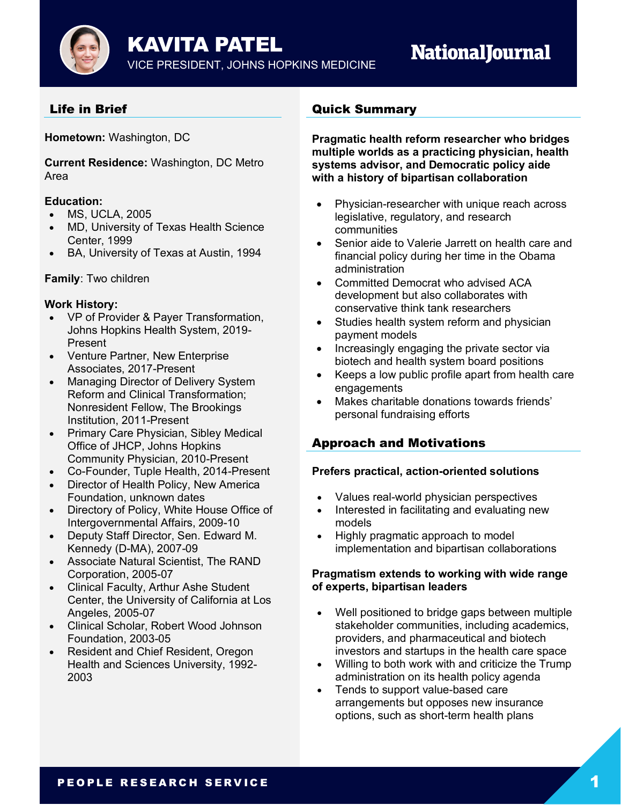

# **NationalJournal**

# Life in Brief

**Hometown:** Washington, DC

**Current Residence:** Washington, DC Metro Area

## **Education:**

- MS, UCLA, 2005
- MD, University of Texas Health Science Center, 1999
- BA, University of Texas at Austin, 1994

## **Family**: Two children

## **Work History:**

- VP of Provider & Payer Transformation, Johns Hopkins Health System, 2019- Present
- Venture Partner, New Enterprise Associates, 2017-Present
- Managing Director of Delivery System Reform and Clinical Transformation; Nonresident Fellow, The Brookings Institution, 2011-Present
- Primary Care Physician, Sibley Medical Office of JHCP, Johns Hopkins Community Physician, 2010-Present
- Co-Founder, Tuple Health, 2014-Present
- Director of Health Policy, New America Foundation, unknown dates
- Directory of Policy, White House Office of Intergovernmental Affairs, 2009-10
- Deputy Staff Director, Sen. Edward M. Kennedy (D-MA), 2007-09
- Associate Natural Scientist, The RAND Corporation, 2005-07
- Clinical Faculty, Arthur Ashe Student Center, the University of California at Los Angeles, 2005-07
- Clinical Scholar, Robert Wood Johnson Foundation, 2003-05
- Resident and Chief Resident, Oregon Health and Sciences University, 1992- 2003

## Quick Summary

**Pragmatic health reform researcher who bridges multiple worlds as a practicing physician, health systems advisor, and Democratic policy aide with a history of bipartisan collaboration**

- Physician-researcher with unique reach across legislative, regulatory, and research communities
- Senior aide to Valerie Jarrett on health care and financial policy during her time in the Obama administration
- Committed Democrat who advised ACA development but also collaborates with conservative think tank researchers
- Studies health system reform and physician payment models
- Increasingly engaging the private sector via biotech and health system board positions
- Keeps a low public profile apart from health care engagements
- Makes charitable donations towards friends' personal fundraising efforts

# Approach and Motivations

## **Prefers practical, action-oriented solutions**

- Values real-world physician perspectives
- Interested in facilitating and evaluating new models
- Highly pragmatic approach to model implementation and bipartisan collaborations

## **Pragmatism extends to working with wide range of experts, bipartisan leaders**

- Well positioned to bridge gaps between multiple stakeholder communities, including academics, providers, and pharmaceutical and biotech investors and startups in the health care space
- Willing to both work with and criticize the Trump administration on its health policy agenda
- Tends to support value-based care arrangements but opposes new insurance options, such as short-term health plans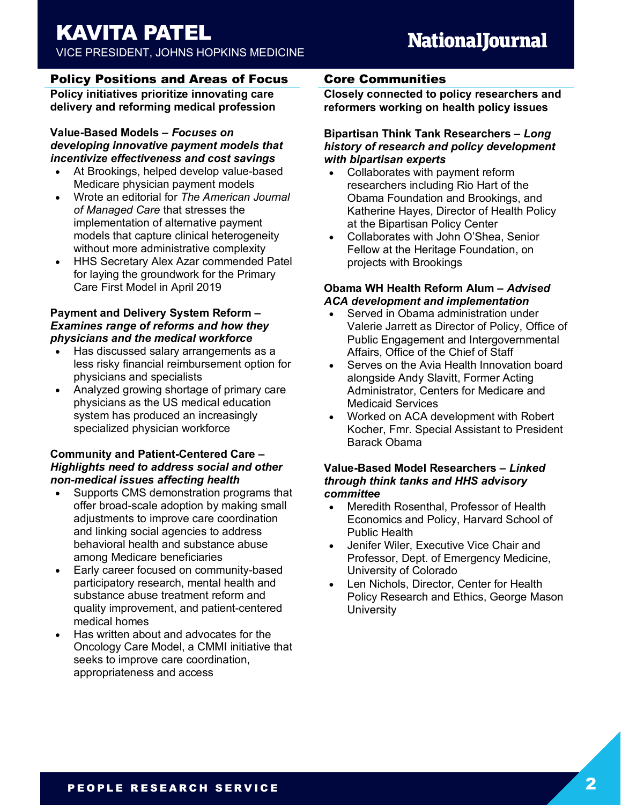# KAVITA PATEL

VICE PRESIDENT, JOHNS HOPKINS MEDICINE

# **NationalJournal**

## Policy Positions and Areas of Focus

**Policy initiatives prioritize innovating care delivery and reforming medical profession**

## **Value-Based Models** *– Focuses on developing innovative payment models that incentivize effectiveness and cost savings*

- At Brookings, helped develop value-based Medicare physician payment models
- Wrote an editorial for *The American Journal of Managed Care* that stresses the implementation of alternative payment models that capture clinical heterogeneity without more administrative complexity
- HHS Secretary Alex Azar commended Patel for laying the groundwork for the Primary Care First Model in April 2019

## **Payment and Delivery System Reform** *– Examines range of reforms and how they physicians and the medical workforce*

- Has discussed salary arrangements as a less risky financial reimbursement option for physicians and specialists
- Analyzed growing shortage of primary care physicians as the US medical education system has produced an increasingly specialized physician workforce

## **Community and Patient-Centered Care** *– Highlights need to address social and other non-medical issues affecting health*

- Supports CMS demonstration programs that offer broad-scale adoption by making small adjustments to improve care coordination and linking social agencies to address behavioral health and substance abuse among Medicare beneficiaries
- Early career focused on community-based participatory research, mental health and substance abuse treatment reform and quality improvement, and patient-centered medical homes
- Has written about and advocates for the Oncology Care Model, a CMMI initiative that seeks to improve care coordination, appropriateness and access

## Core Communities

**Closely connected to policy researchers and reformers working on health policy issues**

### **Bipartisan Think Tank Researchers** *– Long history of research and policy development with bipartisan experts*

- Collaborates with payment reform researchers including Rio Hart of the Obama Foundation and Brookings, and Katherine Hayes, Director of Health Policy at the Bipartisan Policy Center
- Collaborates with John O'Shea, Senior Fellow at the Heritage Foundation, on projects with Brookings

## **Obama WH Health Reform Alum** *– Advised ACA development and implementation*

- Served in Obama administration under Valerie Jarrett as Director of Policy, Office of Public Engagement and Intergovernmental Affairs, Office of the Chief of Staff
- Serves on the Avia Health Innovation board alongside Andy Slavitt, Former Acting Administrator, Centers for Medicare and Medicaid Services
- Worked on ACA development with Robert Kocher, Fmr. Special Assistant to President Barack Obama

### **Value-Based Model Researchers** *– Linked through think tanks and HHS advisory committee*

- Meredith Rosenthal, Professor of Health Economics and Policy, Harvard School of Public Health
- Jenifer Wiler, Executive Vice Chair and Professor, Dept. of Emergency Medicine, University of Colorado
- Len Nichols, Director, Center for Health Policy Research and Ethics, George Mason **University**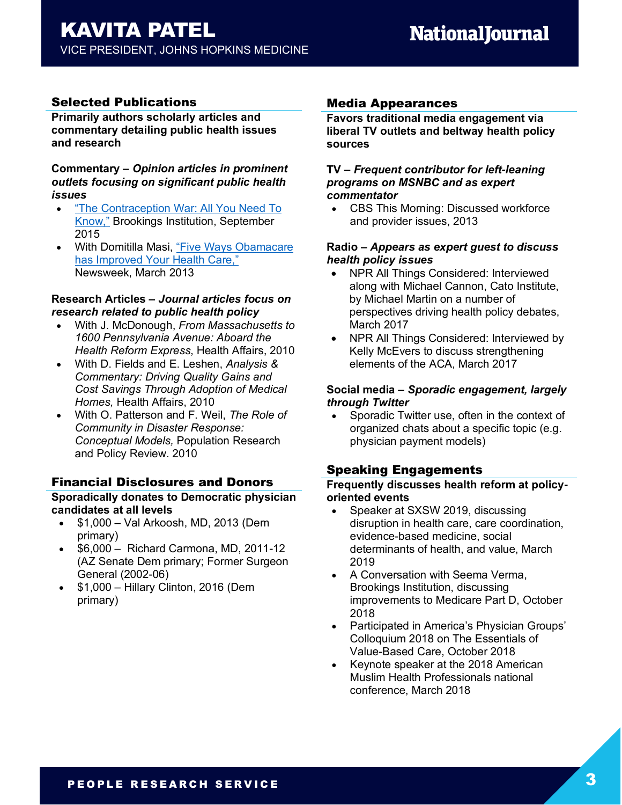## Selected Publications

**Primarily authors scholarly articles and commentary detailing public health issues and research**

#### **Commentary –** *Opinion articles in prominent outlets focusing on significant public health issues*

- "The Contraception War: All You Need To Know," Brookings Institution, September 2015
- With Domitilla Masi, "Five Ways Obamacare has Improved Your Health Care," Newsweek, March 2013

#### **Research Articles –** *Journal articles focus on research related to public health policy*

- With J. McDonough, *From Massachusetts to 1600 Pennsylvania Avenue: Aboard the Health Reform Express*, Health Affairs, 2010
- With D. Fields and E. Leshen, *Analysis & Commentary: Driving Quality Gains and Cost Savings Through Adoption of Medical Homes,* Health Affairs, 2010
- With O. Patterson and F. Weil, *The Role of Community in Disaster Response: Conceptual Models,* Population Research and Policy Review. 2010

## Financial Disclosures and Donors

#### **Sporadically donates to Democratic physician candidates at all levels**

- \$1,000 Val Arkoosh, MD, 2013 (Dem primary)
- \$6,000 Richard Carmona, MD, 2011-12 (AZ Senate Dem primary; Former Surgeon General (2002-06)
- \$1,000 Hillary Clinton, 2016 (Dem primary)

## Media Appearances

**Favors traditional media engagement via liberal TV outlets and beltway health policy sources**

#### **TV –** *Frequent contributor for left-leaning programs on MSNBC and as expert commentator*

• CBS This Morning: Discussed workforce and provider issues, 2013

#### **Radio –** *Appears as expert guest to discuss health policy issues*

- NPR All Things Considered: Interviewed along with Michael Cannon, Cato Institute, by Michael Martin on a number of perspectives driving health policy debates, March 2017
- NPR All Things Considered: Interviewed by Kelly McEvers to discuss strengthening elements of the ACA, March 2017

### **Social media –** *Sporadic engagement, largely through Twitter*

• Sporadic Twitter use, often in the context of organized chats about a specific topic (e.g. physician payment models)

## Speaking Engagements

#### **Frequently discusses health reform at policyoriented events**

- Speaker at SXSW 2019, discussing disruption in health care, care coordination, evidence-based medicine, social determinants of health, and value, March 2019
- A Conversation with Seema Verma, Brookings Institution, discussing improvements to Medicare Part D, October 2018
- Participated in America's Physician Groups' Colloquium 2018 on The Essentials of Value-Based Care, October 2018
- Keynote speaker at the 2018 American Muslim Health Professionals national conference, March 2018